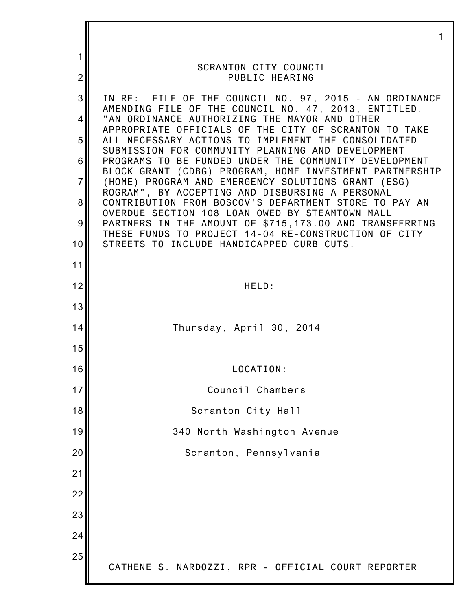|                | 1                                                                                                                |
|----------------|------------------------------------------------------------------------------------------------------------------|
| 1              | <b>SCRANTON CITY COUNCIL</b>                                                                                     |
| $\overline{2}$ | PUBLIC HEARING                                                                                                   |
| 3              | IN RE: FILE OF THE COUNCIL NO. 97, 2015 - AN ORDINANCE<br>AMENDING FILE OF THE COUNCIL NO. 47, 2013, ENTITLED,   |
| 4              | "AN ORDINANCE AUTHORIZING THE MAYOR AND OTHER<br>APPROPRIATE OFFICIALS OF THE CITY OF SCRANTON TO TAKE           |
| 5              | ALL NECESSARY ACTIONS TO IMPLEMENT THE CONSOLIDATED<br>SUBMISSION FOR COMMUNITY PLANNING AND DEVELOPMENT         |
| 6              | PROGRAMS TO BE FUNDED UNDER THE COMMUNITY DEVELOPMENT<br>BLOCK GRANT (CDBG) PROGRAM, HOME INVESTMENT PARTNERSHIP |
| $\overline{7}$ | (HOME) PROGRAM AND EMERGENCY SOLUTIONS GRANT (ESG)<br>ROGRAM", BY ACCEPTING AND DISBURSING A PERSONAL            |
| 8              | CONTRIBUTION FROM BOSCOV'S DEPARTMENT STORE TO PAY AN<br>OVERDUE SECTION 108 LOAN OWED BY STEAMTOWN MALL         |
| 9              | PARTNERS IN THE AMOUNT OF \$715,173.00 AND TRANSFERRING<br>THESE FUNDS TO PROJECT 14-04 RE-CONSTRUCTION OF CITY  |
| 10             | STREETS TO INCLUDE HANDICAPPED CURB CUTS.                                                                        |
| 11             |                                                                                                                  |
| 12             | HELD:                                                                                                            |
| 13             |                                                                                                                  |
| 14             | Thursday, April 30, 2014                                                                                         |
| 15             |                                                                                                                  |
| 16             | LOCATION:                                                                                                        |
| 17             | Council Chambers                                                                                                 |
| 18             | Scranton City Hall                                                                                               |
| 19             | 340 North Washington Avenue                                                                                      |
| 20             | Scranton, Pennsylvania                                                                                           |
| 21             |                                                                                                                  |
| 22             |                                                                                                                  |
| 23             |                                                                                                                  |
| 24             |                                                                                                                  |
| 25             | CATHENE S. NARDOZZI, RPR - OFFICIAL COURT REPORTER                                                               |
|                |                                                                                                                  |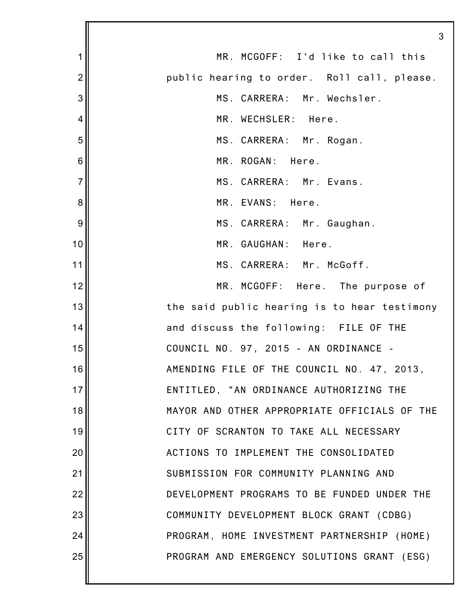|                | 3                                            |
|----------------|----------------------------------------------|
| 1              | MR. MCGOFF: I'd like to call this            |
| $\overline{2}$ | public hearing to order. Roll call, please.  |
| 3              | MS. CARRERA: Mr. Wechsler.                   |
| 4              | MR. WECHSLER: Here.                          |
| 5              | MS. CARRERA: Mr. Rogan.                      |
| 6              | MR. ROGAN: Here.                             |
| $\overline{7}$ | MS. CARRERA: Mr. Evans.                      |
| 8              | MR. EVANS: Here.                             |
| 9              | MS. CARRERA: Mr. Gaughan.                    |
| 10             | MR. GAUGHAN: Here.                           |
| 11             | MS. CARRERA: Mr. McGoff.                     |
| 12             | MR. MCGOFF: Here. The purpose of             |
| 13             | the said public hearing is to hear testimony |
| 14             | and discuss the following: FILE OF THE       |
| 15             | COUNCIL NO. 97, 2015 - AN ORDINANCE -        |
| 16             | AMENDING FILE OF THE COUNCIL NO. 47, 2013,   |
| 17             | ENTITLED, "AN ORDINANCE AUTHORIZING THE      |
| 18             | MAYOR AND OTHER APPROPRIATE OFFICIALS OF THE |
| 19             | CITY OF SCRANTON TO TAKE ALL NECESSARY       |
| 20             | ACTIONS TO IMPLEMENT THE CONSOLIDATED        |
| 21             | SUBMISSION FOR COMMUNITY PLANNING AND        |
| 22             | DEVELOPMENT PROGRAMS TO BE FUNDED UNDER THE  |
| 23             | COMMUNITY DEVELOPMENT BLOCK GRANT (CDBG)     |
| 24             | PROGRAM, HOME INVESTMENT PARTNERSHIP (HOME)  |
| 25             | PROGRAM AND EMERGENCY SOLUTIONS GRANT (ESG)  |
|                |                                              |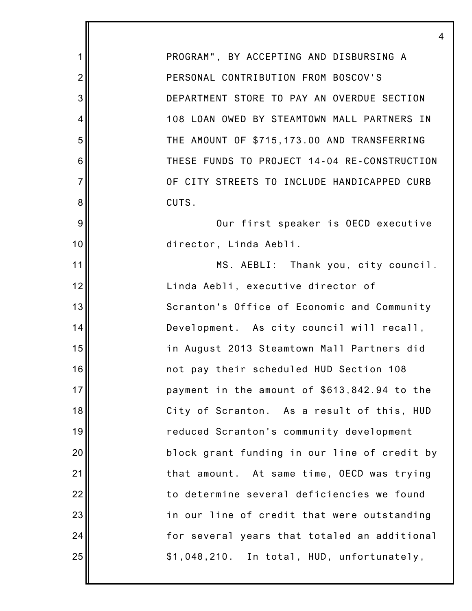1 2 3 4 5 6 7 8 9 10 11 12 13 14 15 16 17 18 19 20 21 22 23 24 25 4 PROGRAM", BY ACCEPTING AND DISBURSING A PERSONAL CONTRIBUTION FROM BOSCOV'S DEPARTMENT STORE TO PAY AN OVERDUE SECTION 108 LOAN OWED BY STEAMTOWN MALL PARTNERS IN THE AMOUNT OF \$715,173.00 AND TRANSFERRING THESE FUNDS TO PROJECT 14-04 RE-CONSTRUCTION OF CITY STREETS TO INCLUDE HANDICAPPED CURB CUTS. Our first speaker is OECD executive director, Linda Aebli. MS. AEBLI: Thank you, city council. Linda Aebli, executive director of Scranton's Office of Economic and Community Development. As city council will recall, in August 2013 Steamtown Mall Partners did not pay their scheduled HUD Section 108 payment in the amount of \$613,842.94 to the City of Scranton. As a result of this, HUD reduced Scranton's community development block grant funding in our line of credit by that amount. At same time, OECD was trying to determine several deficiencies we found in our line of credit that were outstanding for several years that totaled an additional \$1,048,210. In total, HUD, unfortunately,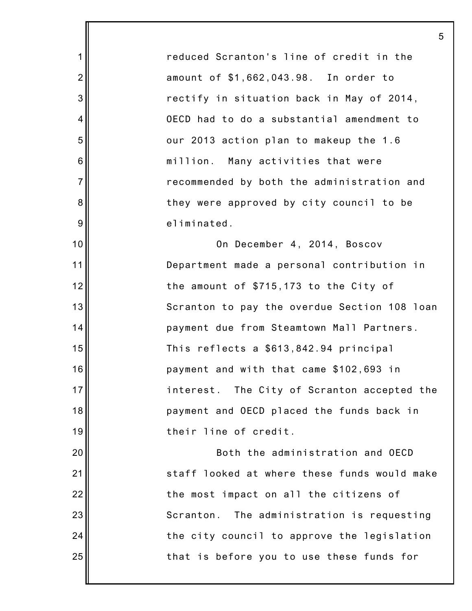reduced Scranton's line of credit in the amount of \$1,662,043.98. In order to rectify in situation back in May of 2014, OECD had to do a substantial amendment to our 2013 action plan to makeup the 1.6 million. Many activities that were recommended by both the administration and they were approved by city council to be eliminated.

1

2

3

4

5

6

7

8

9

10

11

12

13

14

15

16

17

18

19

20

21

22

23

24

25

On December 4, 2014, Boscov Department made a personal contribution in the amount of \$715,173 to the City of Scranton to pay the overdue Section 108 loan payment due from Steamtown Mall Partners. This reflects a \$613,842.94 principal payment and with that came \$102,693 in interest. The City of Scranton accepted the payment and OECD placed the funds back in their line of credit.

Both the administration and OECD staff looked at where these funds would make the most impact on all the citizens of Scranton. The administration is requesting the city council to approve the legislation that is before you to use these funds for

5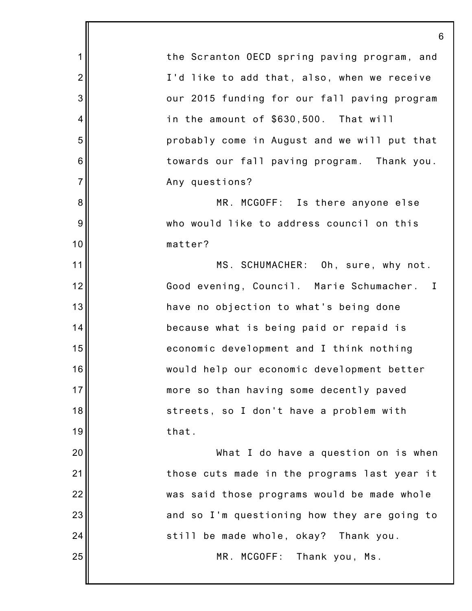1 2 3 4 5 6 7 8 9 10 11 12 13 14 15 16 17 18 19 20 21 22 23 24 25 6 the Scranton OECD spring paving program, and I'd like to add that, also, when we receive our 2015 funding for our fall paving program in the amount of \$630,500. That will probably come in August and we will put that towards our fall paving program. Thank you. Any questions? MR. MCGOFF: Is there anyone else who would like to address council on this matter? MS. SCHUMACHER: Oh, sure, why not. Good evening, Council. Marie Schumacher. I have no objection to what's being done because what is being paid or repaid is economic development and I think nothing would help our economic development better more so than having some decently paved streets, so I don't have a problem with that. What I do have a question on is when those cuts made in the programs last year it was said those programs would be made whole and so I'm questioning how they are going to still be made whole, okay? Thank you. MR. MCGOFF: Thank you, Ms.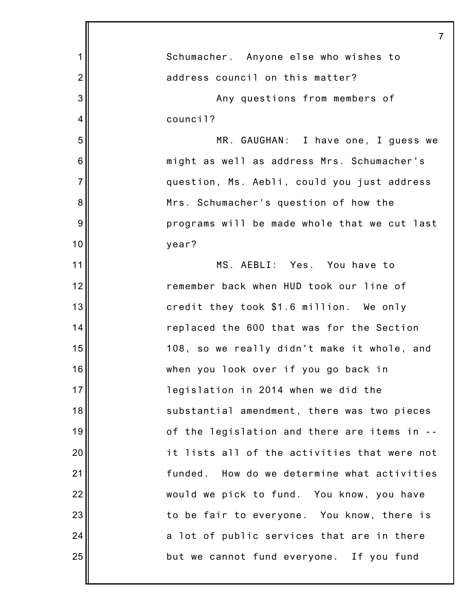|                | 7                                              |
|----------------|------------------------------------------------|
| 1              | Schumacher. Anyone else who wishes to          |
| $\overline{2}$ | address council on this matter?                |
| 3              | Any questions from members of                  |
| 4              | council?                                       |
| 5              | MR. GAUGHAN: I have one, I guess we            |
| 6              | might as well as address Mrs. Schumacher's     |
| $\overline{7}$ | question, Ms. Aebli, could you just address    |
| 8              | Mrs. Schumacher's question of how the          |
| 9              | programs will be made whole that we cut last   |
| 10             | year?                                          |
| 11             | MS. AEBLI: Yes. You have to                    |
| 12             | remember back when HUD took our line of        |
| 13             | credit they took \$1.6 million. We only        |
| 14             | replaced the 600 that was for the Section      |
| 15             | 108, so we really didn't make it whole, and    |
| 16             | when you look over if you go back in           |
| 17             | legislation in 2014 when we did the            |
| 18             | substantial amendment, there was two pieces    |
| 19             | of the legislation and there are items in --   |
| 20             | it lists all of the activities that were not   |
| 21             | How do we determine what activities<br>funded. |
| 22             | would we pick to fund. You know, you have      |
| 23             | to be fair to everyone. You know, there is     |
| 24             | a lot of public services that are in there     |
| 25             | but we cannot fund everyone. If you fund       |
|                |                                                |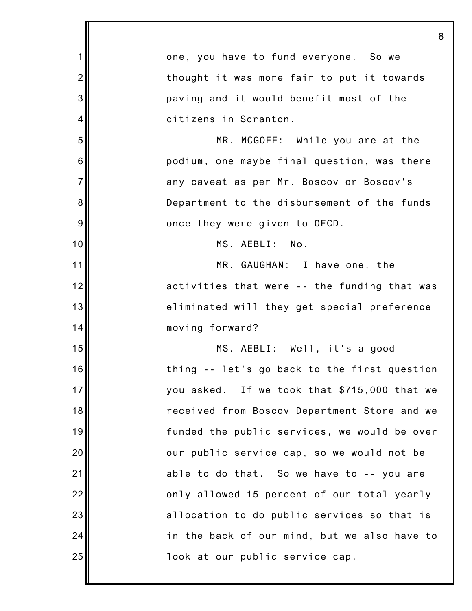|                 | 8                                            |
|-----------------|----------------------------------------------|
| 1               | one, you have to fund everyone. So we        |
| $\overline{2}$  | thought it was more fair to put it towards   |
| 3               | paving and it would benefit most of the      |
| 4               | citizens in Scranton.                        |
| 5               | MR. MCGOFF: While you are at the             |
| $6\phantom{1}6$ | podium, one maybe final question, was there  |
| $\overline{7}$  | any caveat as per Mr. Boscov or Boscov's     |
| 8               | Department to the disbursement of the funds  |
| 9               | once they were given to OECD.                |
| 10              | MS. AEBLI: No.                               |
| 11              | MR. GAUGHAN: I have one, the                 |
| 12              | activities that were -- the funding that was |
| 13              | eliminated will they get special preference  |
| 14              | moving forward?                              |
| 15              | MS. AEBLI: Well, it's a good                 |
| 16              | thing -- let's go back to the first question |
| 17              | you asked. If we took that \$715,000 that we |
| 18              | received from Boscov Department Store and we |
| 19              | funded the public services, we would be over |
| 20              | our public service cap, so we would not be   |
| 21              | able to do that. So we have to -- you are    |
| 22              | only allowed 15 percent of our total yearly  |
| 23              | allocation to do public services so that is  |
| 24              | in the back of our mind, but we also have to |
| 25              | look at our public service cap.              |
|                 |                                              |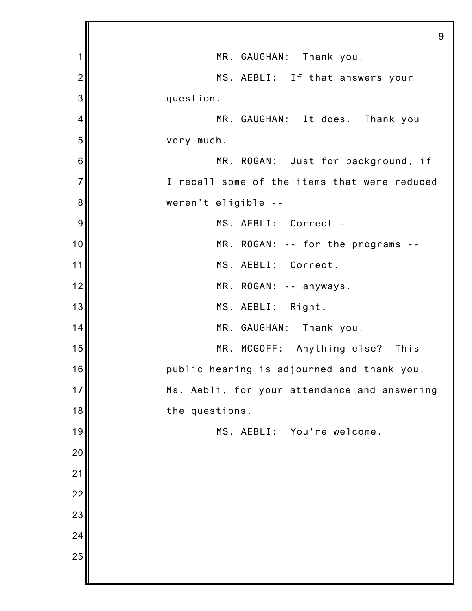|                 | 9                                            |
|-----------------|----------------------------------------------|
| 1               | MR. GAUGHAN: Thank you.                      |
| $\overline{2}$  | MS. AEBLI: If that answers your              |
| 3               | question.                                    |
| 4               | MR. GAUGHAN: It does. Thank you              |
| 5               | very much.                                   |
| $6\phantom{1}6$ | MR. ROGAN: Just for background, if           |
| $\overline{7}$  | I recall some of the items that were reduced |
| 8               | weren't eligible --                          |
| 9               | MS. AEBLI: Correct -                         |
| 10              | MR. ROGAN: -- for the programs --            |
| 11              | MS. AEBLI: Correct.                          |
| 12              | MR. ROGAN: -- anyways.                       |
| 13              | MS. AEBLI: Right.                            |
| 14              | MR. GAUGHAN: Thank you.                      |
| 15              | MR. MCGOFF: Anything else? This              |
| 16              | public hearing is adjourned and thank you,   |
| 17              | Ms. Aebli, for your attendance and answering |
| 18              | the questions.                               |
| 19              | MS. AEBLI:<br>You're welcome.                |
| 20              |                                              |
| 21              |                                              |
| 22              |                                              |
| 23              |                                              |
| 24              |                                              |
| 25              |                                              |
|                 |                                              |